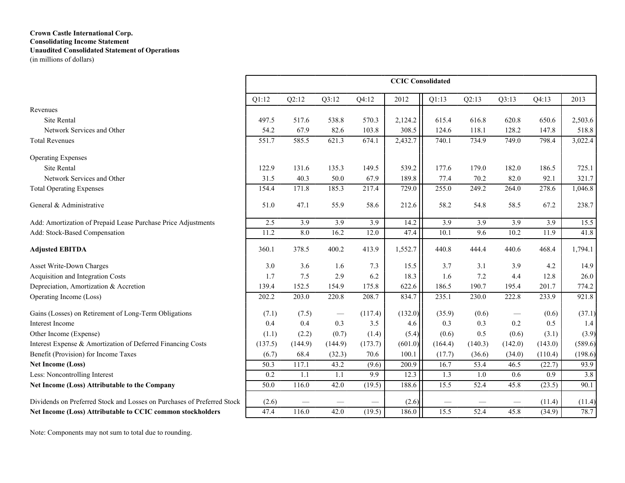# **Crown Castle International Corp. Consolidating Income Statement Unaudited Consolidated Statement of Operations**

(in millions of dollars)

|                                                                         | <b>CCIC</b> Consolidated |         |         |         |         |                  |                   |         |         |         |  |
|-------------------------------------------------------------------------|--------------------------|---------|---------|---------|---------|------------------|-------------------|---------|---------|---------|--|
|                                                                         | Q1:12                    | Q2:12   | Q3:12   | Q4:12   | 2012    | Q1:13            | Q2:13             | Q3:13   | Q4:13   | 2013    |  |
| Revenues                                                                |                          |         |         |         |         |                  |                   |         |         |         |  |
| Site Rental                                                             | 497.5                    | 517.6   | 538.8   | 570.3   | 2,124.2 | 615.4            | 616.8             | 620.8   | 650.6   | 2,503.6 |  |
| Network Services and Other                                              | 54.2                     | 67.9    | 82.6    | 103.8   | 308.5   | 124.6            | 118.1             | 128.2   | 147.8   | 518.8   |  |
| <b>Total Revenues</b>                                                   | 551.7                    | 585.5   | 621.3   | 674.1   | 2,432.7 | 740.1            | 734.9             | 749.0   | 798.4   | 3,022.4 |  |
| <b>Operating Expenses</b>                                               |                          |         |         |         |         |                  |                   |         |         |         |  |
| Site Rental                                                             | 122.9                    | 131.6   | 135.3   | 149.5   | 539.2   | 177.6            | 179.0             | 182.0   | 186.5   | 725.1   |  |
| Network Services and Other                                              | 31.5                     | 40.3    | 50.0    | 67.9    | 189.8   | 77.4             | 70.2              | 82.0    | 92.1    | 321.7   |  |
| <b>Total Operating Expenses</b>                                         | 154.4                    | 171.8   | 185.3   | 217.4   | 729.0   | 255.0            | 249.2             | 264.0   | 278.6   | 1,046.8 |  |
| General & Administrative                                                | 51.0                     | 47.1    | 55.9    | 58.6    | 212.6   | 58.2             | 54.8              | 58.5    | 67.2    | 238.7   |  |
| Add: Amortization of Prepaid Lease Purchase Price Adjustments           | 2.5                      | 3.9     | 3.9     | 3.9     | 14.2    | $\overline{3.9}$ | 3.9               | 3.9     | 3.9     | 15.5    |  |
| Add: Stock-Based Compensation                                           | 11.2                     | 8.0     | 16.2    | 12.0    | 47.4    | 10.1             | 9.6               | 10.2    | 11.9    | 41.8    |  |
| <b>Adjusted EBITDA</b>                                                  | 360.1                    | 378.5   | 400.2   | 413.9   | 1,552.7 | 440.8            | 444.4             | 440.6   | 468.4   | 1,794.1 |  |
| Asset Write-Down Charges                                                | 3.0                      | 3.6     | 1.6     | 7.3     | 15.5    | 3.7              | 3.1               | 3.9     | 4.2     | 14.9    |  |
| Acquisition and Integration Costs                                       | 1.7                      | 7.5     | 2.9     | 6.2     | 18.3    | 1.6              | 7.2               | 4.4     | 12.8    | 26.0    |  |
| Depreciation, Amortization & Accretion                                  | 139.4                    | 152.5   | 154.9   | 175.8   | 622.6   | 186.5            | 190.7             | 195.4   | 201.7   | 774.2   |  |
| Operating Income (Loss)                                                 | 202.2                    | 203.0   | 220.8   | 208.7   | 834.7   | 235.1            | 230.0             | 222.8   | 233.9   | 921.8   |  |
| Gains (Losses) on Retirement of Long-Term Obligations                   | (7.1)                    | (7.5)   |         | (117.4) | (132.0) | (35.9)           | (0.6)             |         | (0.6)   | (37.1)  |  |
| Interest Income                                                         | 0.4                      | 0.4     | 0.3     | 3.5     | 4.6     | 0.3              | 0.3               | 0.2     | 0.5     | 1.4     |  |
| Other Income (Expense)                                                  | (1.1)                    | (2.2)   | (0.7)   | (1.4)   | (5.4)   | (0.6)            | 0.5               | (0.6)   | (3.1)   | (3.9)   |  |
| Interest Expense & Amortization of Deferred Financing Costs             | (137.5)                  | (144.9) | (144.9) | (173.7) | (601.0) | (164.4)          | (140.3)           | (142.0) | (143.0) | (589.6) |  |
| Benefit (Provision) for Income Taxes                                    | (6.7)                    | 68.4    | (32.3)  | 70.6    | 100.1   | (17.7)           | (36.6)            | (34.0)  | (110.4) | (198.6) |  |
| <b>Net Income (Loss)</b>                                                | 50.3                     | 117.1   | 43.2    | (9.6)   | 200.9   | 16.7             | $\overline{53.4}$ | 46.5    | (22.7)  | 93.9    |  |
| Less: Noncontrolling Interest                                           | 0.2                      | 1.1     | 1.1     | 9.9     | 12.3    | $\overline{1.3}$ | 1.0               | 0.6     | 0.9     | 3.8     |  |
| Net Income (Loss) Attributable to the Company                           | 50.0                     | 116.0   | 42.0    | (19.5)  | 188.6   | 15.5             | 52.4              | 45.8    | (23.5)  | 90.1    |  |
| Dividends on Preferred Stock and Losses on Purchases of Preferred Stock | (2.6)                    |         |         |         | (2.6)   |                  |                   |         | (11.4)  | (11.4)  |  |
| Net Income (Loss) Attributable to CCIC common stockholders              | 47.4                     | 116.0   | 42.0    | (19.5)  | 186.0   | 15.5             | 52.4              | 45.8    | (34.9)  | 78.7    |  |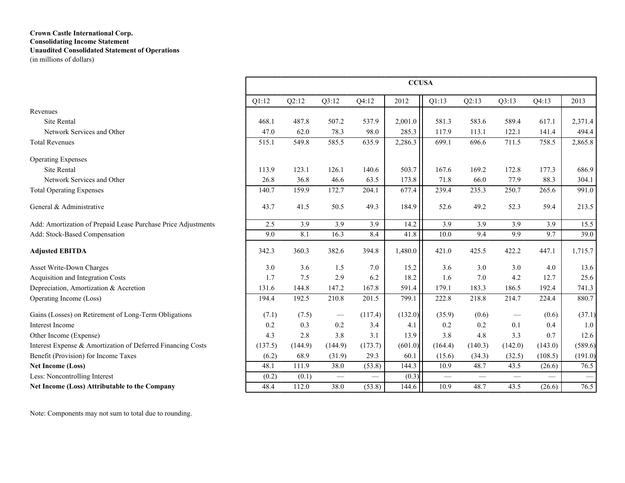### **Crown Castle International Corp. Consolidating Income Statement Unaudited Consolidated Statement of Operations** (in millions of dollars)

|                                                               | <b>CCUSA</b> |                  |                  |                  |         |                  |                          |                  |                  |         |  |
|---------------------------------------------------------------|--------------|------------------|------------------|------------------|---------|------------------|--------------------------|------------------|------------------|---------|--|
|                                                               | Q1:12        | Q2:12            | Q3:12            | Q4:12            | 2012    | Q1:13            | Q2:13                    | Q3:13            | Q4:13            | 2013    |  |
| Revenues                                                      |              |                  |                  |                  |         |                  |                          |                  |                  |         |  |
| <b>Site Rental</b>                                            | 468.1        | 487.8            | 507.2            | 537.9            | 2,001.0 | 581.3            | 583.6                    | 589.4            | 617.1            | 2,371.4 |  |
| Network Services and Other                                    | 47.0         | 62.0             | 78.3             | 98.0             | 285.3   | 117.9            | 113.1                    | 122.1            | 141.4            | 494.4   |  |
| <b>Total Revenues</b>                                         | 515.1        | 549.8            | 585.5            | 635.9            | 2,286.3 | 699.1            | 696.6                    | 711.5            | 758.5            | 2,865.8 |  |
| <b>Operating Expenses</b>                                     |              |                  |                  |                  |         |                  |                          |                  |                  |         |  |
| Site Rental                                                   | 113.9        | 123.1            | 126.1            | 140.6            | 503.7   | 167.6            | 169.2                    | 172.8            | 177.3            | 686.9   |  |
| Network Services and Other                                    | 26.8         | 36.8             | 46.6             | 63.5             | 173.8   | 71.8             | 66.0                     | 77.9             | 88.3             | 304.1   |  |
| <b>Total Operating Expenses</b>                               | 140.7        | 159.9            | 172.7            | 204.1            | 677.4   | 239.4            | 235.3                    | 250.7            | 265.6            | 991.0   |  |
| General & Administrative                                      | 43.7         | 41.5             | 50.5             | 49.3             | 184.9   | 52.6             | 49.2                     | 52.3             | 59.4             | 213.5   |  |
| Add: Amortization of Prepaid Lease Purchase Price Adjustments | 2.5          | $\overline{3.9}$ | $\overline{3.9}$ | $\overline{3.9}$ | 14.2    | $\overline{3.9}$ | $\overline{3.9}$         | $\overline{3.9}$ | $\overline{3.9}$ | 15.5    |  |
| Add: Stock-Based Compensation                                 | 9.0          | 8.1              | 16.3             | 8.4              | 41.8    | 10.0             | 9.4                      | 9.9              | 9.7              | 39.0    |  |
| <b>Adjusted EBITDA</b>                                        | 342.3        | 360.3            | 382.6            | 394.8            | 1,480.0 | 421.0            | 425.5                    | 422.2            | 447.1            | 1,715.7 |  |
| Asset Write-Down Charges                                      | 3.0          | 3.6              | 1.5              | 7.0              | 15.2    | 3.6              | 3.0                      | 3.0              | 4.0              | 13.6    |  |
| Acquisition and Integration Costs                             | 1.7          | 7.5              | 2.9              | 6.2              | 18.2    | 1.6              | 7.0                      | 4.2              | 12.7             | 25.6    |  |
| Depreciation, Amortization & Accretion                        | 131.6        | 144.8            | 147.2            | 167.8            | 591.4   | 179.1            | 183.3                    | 186.5            | 192.4            | 741.3   |  |
| Operating Income (Loss)                                       | 194.4        | 192.5            | 210.8            | 201.5            | 799.1   | 222.8            | 218.8                    | 214.7            | 224.4            | 880.7   |  |
| Gains (Losses) on Retirement of Long-Term Obligations         | (7.1)        | (7.5)            |                  | (117.4)          | (132.0) | (35.9)           | (0.6)                    |                  | (0.6)            | (37.1)  |  |
| Interest Income                                               | 0.2          | 0.3              | 0.2              | 3.4              | 4.1     | 0.2              | 0.2                      | 0.1              | 0.4              | 1.0     |  |
| Other Income (Expense)                                        | 4.3          | 2.8              | 3.8              | 3.1              | 13.9    | 3.8              | 4.8                      | 3.3              | 0.7              | 12.6    |  |
| Interest Expense & Amortization of Deferred Financing Costs   | (137.5)      | (144.9)          | (144.9)          | (173.7)          | (601.0) | (164.4)          | (140.3)                  | (142.0)          | (143.0)          | (589.6) |  |
| Benefit (Provision) for Income Taxes                          | (6.2)        | 68.9             | (31.9)           | 29.3             | 60.1    | (15.6)           | (34.3)                   | (32.5)           | (108.5)          | (191.0) |  |
| Net Income (Loss)                                             | 48.1         | 111.9            | 38.0             | (53.8)           | 144.3   | 10.9             | 48.7                     | 43.5             | (26.6)           | 76.5    |  |
| Less: Noncontrolling Interest                                 | (0.2)        | (0.1)            | $\qquad \qquad$  |                  | (0.3)   |                  | $\overline{\phantom{m}}$ | $\qquad \qquad$  |                  |         |  |
| Net Income (Loss) Attributable to the Company                 | 48.4         | 112.0            | 38.0             | (53.8)           | 144.6   | 10.9             | 48.7                     | 43.5             | (26.6)           | 76.5    |  |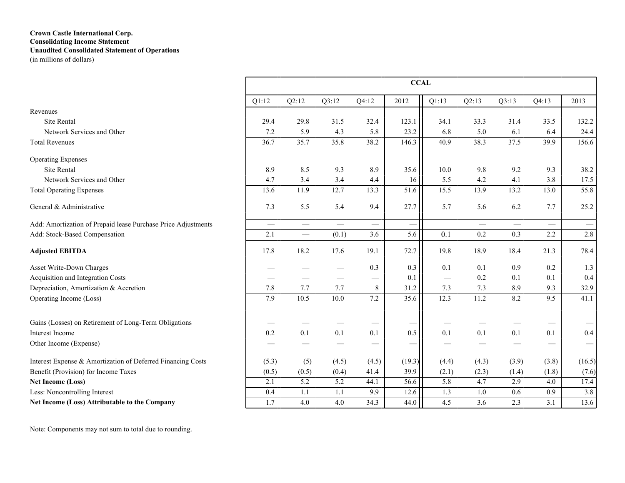### **Crown Castle International Corp. Consolidating Income Statement Unaudited Consolidated Statement of Operations** (in millions of dollars)

|                                                               | <b>CCAL</b> |          |       |                               |        |                          |          |       |                   |                               |  |
|---------------------------------------------------------------|-------------|----------|-------|-------------------------------|--------|--------------------------|----------|-------|-------------------|-------------------------------|--|
|                                                               | Q1:12       | Q2:12    | Q3:12 | Q4:12                         | 2012   | Q1:13                    | Q2:13    | Q3:13 | Q4:13             | 2013                          |  |
| Revenues                                                      |             |          |       |                               |        |                          |          |       |                   |                               |  |
| Site Rental                                                   | 29.4        | 29.8     | 31.5  | 32.4                          | 123.1  | 34.1                     | 33.3     | 31.4  | 33.5              | 132.2                         |  |
| Network Services and Other                                    | 7.2         | 5.9      | 4.3   | 5.8                           | 23.2   | 6.8                      | 5.0      | 6.1   | 6.4               | 24.4                          |  |
| <b>Total Revenues</b>                                         | 36.7        | 35.7     | 35.8  | 38.2                          | 146.3  | 40.9                     | 38.3     | 37.5  | 39.9              | 156.6                         |  |
| <b>Operating Expenses</b>                                     |             |          |       |                               |        |                          |          |       |                   |                               |  |
| Site Rental                                                   | 8.9         | 8.5      | 9.3   | 8.9                           | 35.6   | 10.0                     | 9.8      | 9.2   | 9.3               | 38.2                          |  |
| Network Services and Other                                    | 4.7         | 3.4      | 3.4   | 4.4                           | 16     | 5.5                      | 4.2      | 4.1   | 3.8               | 17.5                          |  |
| <b>Total Operating Expenses</b>                               | 13.6        | 11.9     | 12.7  | 13.3                          | 51.6   | 15.5                     | 13.9     | 13.2  | 13.0              | 55.8                          |  |
| General & Administrative                                      | 7.3         | 5.5      | 5.4   | 9.4                           | 27.7   | 5.7                      | 5.6      | 6.2   | 7.7               | 25.2                          |  |
| Add: Amortization of Prepaid lease Purchase Price Adjustments | $\equiv$    | $\equiv$ |       | $\overbrace{\phantom{aaaaa}}$ |        | $\overline{\phantom{m}}$ | $\equiv$ |       | $\equiv$          | $\overbrace{\phantom{12333}}$ |  |
| Add: Stock-Based Compensation                                 | 2.1         |          | (0.1) | 3.6                           | 5.6    | 0.1                      | 0.2      | 0.3   | 2.2               | 2.8                           |  |
| <b>Adjusted EBITDA</b>                                        | 17.8        | 18.2     | 17.6  | 19.1                          | 72.7   | 19.8                     | 18.9     | 18.4  | 21.3              | 78.4                          |  |
| Asset Write-Down Charges                                      |             |          |       | 0.3                           | 0.3    | 0.1                      | 0.1      | 0.9   | 0.2               | 1.3                           |  |
| Acquisition and Integration Costs                             |             |          |       | $\overbrace{\phantom{13333}}$ | 0.1    | $\qquad \qquad$          | 0.2      | 0.1   | 0.1               | 0.4                           |  |
| Depreciation, Amortization & Accretion                        | 7.8         | 7.7      | 7.7   | 8                             | 31.2   | 7.3                      | 7.3      | 8.9   | 9.3               | 32.9                          |  |
| Operating Income (Loss)                                       | 7.9         | 10.5     | 10.0  | 7.2                           | 35.6   | 12.3                     | 11.2     | 8.2   | 9.5               | 41.1                          |  |
| Gains (Losses) on Retirement of Long-Term Obligations         |             |          |       |                               | —      |                          |          |       | $\hspace{0.05cm}$ |                               |  |
| Interest Income                                               | 0.2         | 0.1      | 0.1   | 0.1                           | 0.5    | 0.1                      | $0.1\,$  | 0.1   | 0.1               | $0.4\,$                       |  |
| Other Income (Expense)                                        |             |          |       |                               | -      |                          |          |       |                   |                               |  |
| Interest Expense & Amortization of Deferred Financing Costs   | (5.3)       | (5)      | (4.5) | (4.5)                         | (19.3) | (4.4)                    | (4.3)    | (3.9) | (3.8)             | (16.5)                        |  |
| Benefit (Provision) for Income Taxes                          | (0.5)       | (0.5)    | (0.4) | 41.4                          | 39.9   | (2.1)                    | (2.3)    | (1.4) | (1.8)             | (7.6)                         |  |
| <b>Net Income (Loss)</b>                                      | 2.1         | 5.2      | 5.2   | 44.1                          | 56.6   | 5.8                      | 4.7      | 2.9   | 4.0               | 17.4                          |  |
| Less: Noncontrolling Interest                                 | 0.4         | 1.1      | 1.1   | 9.9                           | 12.6   | 1.3                      | $1.0\,$  | 0.6   | 0.9               | 3.8                           |  |
| Net Income (Loss) Attributable to the Company                 | 1.7         | 4.0      | 4.0   | 34.3                          | 44.0   | 4.5                      | 3.6      | 2.3   | 3.1               | 13.6                          |  |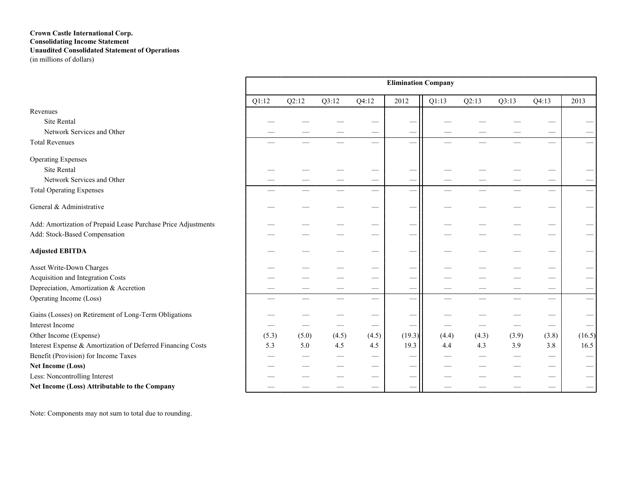### **Crown Castle International Corp. Consolidating Income Statement Unaudited Consolidated Statement of Operations** (in millions of dollars)

|                                                               | <b>Elimination Company</b> |       |       |       |                          |       |       |       |                               |                          |  |
|---------------------------------------------------------------|----------------------------|-------|-------|-------|--------------------------|-------|-------|-------|-------------------------------|--------------------------|--|
|                                                               | Q1:12                      | Q2:12 | Q3:12 | Q4:12 | 2012                     | Q1:13 | Q2:13 | Q3:13 | Q4:13                         | 2013                     |  |
| Revenues                                                      |                            |       |       |       |                          |       |       |       |                               |                          |  |
| Site Rental                                                   |                            |       |       |       |                          |       |       |       |                               |                          |  |
| Network Services and Other                                    |                            |       |       |       | -                        |       |       |       |                               |                          |  |
| <b>Total Revenues</b>                                         |                            |       |       |       |                          |       |       |       |                               |                          |  |
| <b>Operating Expenses</b>                                     |                            |       |       |       |                          |       |       |       |                               |                          |  |
| Site Rental                                                   |                            |       |       |       |                          |       |       |       |                               |                          |  |
| Network Services and Other                                    |                            |       |       |       | $\overline{\phantom{0}}$ |       |       |       |                               |                          |  |
| <b>Total Operating Expenses</b>                               |                            |       |       |       | $\overline{\phantom{0}}$ |       |       |       | $\overline{\phantom{0}}$      | $\overline{\phantom{0}}$ |  |
| General & Administrative                                      |                            |       |       |       | $\overline{\phantom{0}}$ |       |       |       |                               |                          |  |
| Add: Amortization of Prepaid Lease Purchase Price Adjustments |                            |       |       |       | -                        |       |       |       |                               |                          |  |
| Add: Stock-Based Compensation                                 |                            |       |       |       | -                        |       |       |       |                               |                          |  |
| <b>Adjusted EBITDA</b>                                        |                            |       |       |       |                          |       |       |       |                               |                          |  |
| Asset Write-Down Charges                                      |                            |       |       |       |                          |       |       |       |                               |                          |  |
| Acquisition and Integration Costs                             |                            |       |       |       |                          |       |       |       |                               |                          |  |
| Depreciation, Amortization & Accretion                        |                            |       |       |       | $\overline{\phantom{0}}$ |       |       |       |                               |                          |  |
| Operating Income (Loss)                                       | -                          |       |       |       |                          |       |       |       |                               |                          |  |
| Gains (Losses) on Retirement of Long-Term Obligations         |                            |       |       |       |                          |       |       |       |                               |                          |  |
| Interest Income                                               |                            |       |       |       |                          |       |       |       | $\overbrace{\phantom{12333}}$ | $\overline{\phantom{0}}$ |  |
| Other Income (Expense)                                        | (5.3)                      | (5.0) | (4.5) | (4.5) | (19.3)                   | (4.4) | (4.3) | (3.9) | (3.8)                         | (16.5)                   |  |
| Interest Expense & Amortization of Deferred Financing Costs   | 5.3                        | 5.0   | 4.5   | 4.5   | 19.3                     | 4.4   | 4.3   | 3.9   | 3.8                           | 16.5                     |  |
| Benefit (Provision) for Income Taxes                          |                            |       |       | —     | -                        |       |       |       | __                            |                          |  |
| <b>Net Income (Loss)</b>                                      |                            |       |       |       |                          |       |       |       | –                             |                          |  |
| Less: Noncontrolling Interest                                 |                            |       |       |       |                          |       |       |       |                               |                          |  |
| Net Income (Loss) Attributable to the Company                 |                            |       |       |       | -                        |       |       |       |                               |                          |  |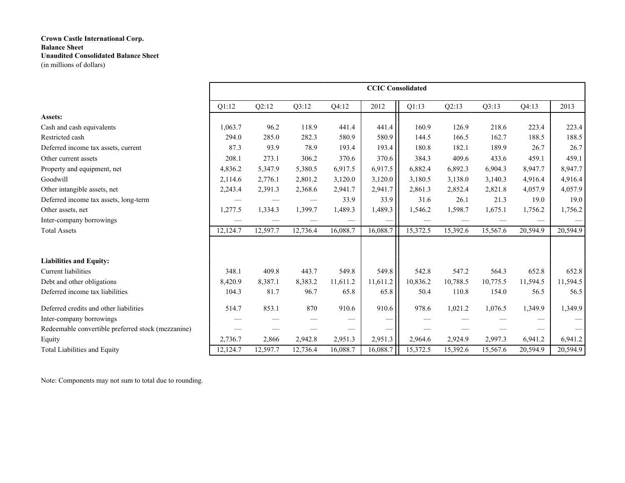|                                                    | <b>CCIC Consolidated</b> |          |          |          |          |          |          |          |          |          |  |  |
|----------------------------------------------------|--------------------------|----------|----------|----------|----------|----------|----------|----------|----------|----------|--|--|
|                                                    | Q1:12                    | Q2:12    | Q3:12    | Q4:12    | 2012     | Q1:13    | Q2:13    | Q3:13    | Q4:13    | 2013     |  |  |
| Assets:                                            |                          |          |          |          |          |          |          |          |          |          |  |  |
| Cash and cash equivalents                          | 1,063.7                  | 96.2     | 118.9    | 441.4    | 441.4    | 160.9    | 126.9    | 218.6    | 223.4    | 223.4    |  |  |
| Restricted cash                                    | 294.0                    | 285.0    | 282.3    | 580.9    | 580.9    | 144.5    | 166.5    | 162.7    | 188.5    | 188.5    |  |  |
| Deferred income tax assets, current                | 87.3                     | 93.9     | 78.9     | 193.4    | 193.4    | 180.8    | 182.1    | 189.9    | 26.7     | 26.7     |  |  |
| Other current assets                               | 208.1                    | 273.1    | 306.2    | 370.6    | 370.6    | 384.3    | 409.6    | 433.6    | 459.1    | 459.1    |  |  |
| Property and equipment, net                        | 4,836.2                  | 5,347.9  | 5,380.5  | 6,917.5  | 6,917.5  | 6,882.4  | 6,892.3  | 6,904.3  | 8,947.7  | 8,947.7  |  |  |
| Goodwill                                           | 2,114.6                  | 2,776.1  | 2,801.2  | 3,120.0  | 3,120.0  | 3,180.5  | 3,138.0  | 3,140.3  | 4,916.4  | 4,916.4  |  |  |
| Other intangible assets, net                       | 2,243.4                  | 2,391.3  | 2,368.6  | 2,941.7  | 2,941.7  | 2,861.3  | 2,852.4  | 2,821.8  | 4,057.9  | 4,057.9  |  |  |
| Deferred income tax assets, long-term              |                          |          |          | 33.9     | 33.9     | 31.6     | 26.1     | 21.3     | 19.0     | 19.0     |  |  |
| Other assets, net                                  | 1,277.5                  | 1,334.3  | 1,399.7  | 1,489.3  | 1,489.3  | 1,546.2  | 1,598.7  | 1,675.1  | 1,756.2  | 1,756.2  |  |  |
| Inter-company borrowings                           |                          |          |          |          |          |          |          |          |          |          |  |  |
| <b>Total Assets</b>                                | 12,124.7                 | 12,597.7 | 12,736.4 | 16,088.7 | 16,088.7 | 15,372.5 | 15,392.6 | 15,567.6 | 20,594.9 | 20,594.9 |  |  |
|                                                    |                          |          |          |          |          |          |          |          |          |          |  |  |
| <b>Liabilities and Equity:</b>                     |                          |          |          |          |          |          |          |          |          |          |  |  |
| <b>Current liabilities</b>                         | 348.1                    | 409.8    | 443.7    | 549.8    | 549.8    | 542.8    | 547.2    | 564.3    | 652.8    | 652.8    |  |  |
| Debt and other obligations                         | 8,420.9                  | 8,387.1  | 8,383.2  | 11,611.2 | 11,611.2 | 10,836.2 | 10,788.5 | 10,775.5 | 11,594.5 | 11,594.5 |  |  |
| Deferred income tax liabilities                    | 104.3                    | 81.7     | 96.7     | 65.8     | 65.8     | 50.4     | 110.8    | 154.0    | 56.5     | 56.5     |  |  |
| Deferred credits and other liabilities             | 514.7                    | 853.1    | 870      | 910.6    | 910.6    | 978.6    | 1,021.2  | 1,076.5  | 1,349.9  | 1,349.9  |  |  |
| Inter-company borrowings                           |                          |          |          |          |          |          |          |          |          |          |  |  |
| Redeemable convertible preferred stock (mezzanine) |                          |          |          |          |          |          |          |          |          |          |  |  |
| Equity                                             | 2,736.7                  | 2,866    | 2,942.8  | 2,951.3  | 2,951.3  | 2,964.6  | 2,924.9  | 2,997.3  | 6,941.2  | 6,941.2  |  |  |
| Total Liabilities and Equity                       | 12,124.7                 | 12,597.7 | 12,736.4 | 16,088.7 | 16,088.7 | 15,372.5 | 15,392.6 | 15,567.6 | 20,594.9 | 20,594.9 |  |  |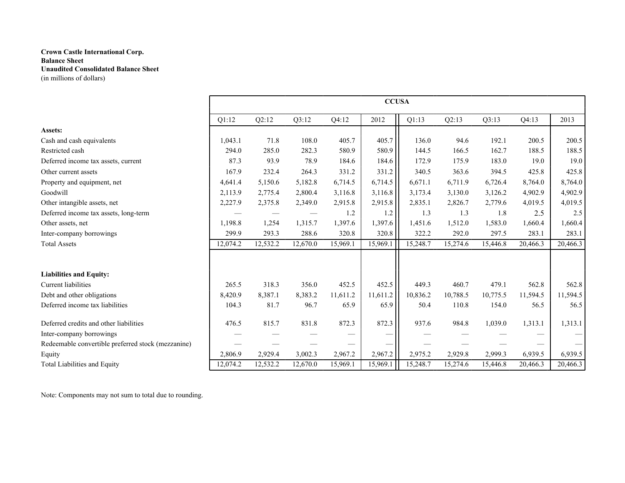|                                                    | <b>CCUSA</b> |          |          |          |          |          |          |          |          |          |  |  |
|----------------------------------------------------|--------------|----------|----------|----------|----------|----------|----------|----------|----------|----------|--|--|
|                                                    | Q1:12        | Q2:12    | Q3:12    | Q4:12    | 2012     | Q1:13    | Q2:13    | Q3:13    | Q4:13    | 2013     |  |  |
| Assets:                                            |              |          |          |          |          |          |          |          |          |          |  |  |
| Cash and cash equivalents                          | 1,043.1      | 71.8     | 108.0    | 405.7    | 405.7    | 136.0    | 94.6     | 192.1    | 200.5    | 200.5    |  |  |
| Restricted cash                                    | 294.0        | 285.0    | 282.3    | 580.9    | 580.9    | 144.5    | 166.5    | 162.7    | 188.5    | 188.5    |  |  |
| Deferred income tax assets, current                | 87.3         | 93.9     | 78.9     | 184.6    | 184.6    | 172.9    | 175.9    | 183.0    | 19.0     | 19.0     |  |  |
| Other current assets                               | 167.9        | 232.4    | 264.3    | 331.2    | 331.2    | 340.5    | 363.6    | 394.5    | 425.8    | 425.8    |  |  |
| Property and equipment, net                        | 4,641.4      | 5,150.6  | 5,182.8  | 6,714.5  | 6,714.5  | 6,671.1  | 6,711.9  | 6,726.4  | 8,764.0  | 8,764.0  |  |  |
| Goodwill                                           | 2,113.9      | 2,775.4  | 2,800.4  | 3,116.8  | 3,116.8  | 3,173.4  | 3,130.0  | 3,126.2  | 4,902.9  | 4,902.9  |  |  |
| Other intangible assets, net                       | 2,227.9      | 2,375.8  | 2,349.0  | 2,915.8  | 2,915.8  | 2,835.1  | 2,826.7  | 2,779.6  | 4,019.5  | 4,019.5  |  |  |
| Deferred income tax assets, long-term              |              |          |          | 1.2      | 1.2      | 1.3      | 1.3      | 1.8      | 2.5      | 2.5      |  |  |
| Other assets, net                                  | 1,198.8      | 1,254    | 1,315.7  | 1,397.6  | 1,397.6  | 1,451.6  | 1,512.0  | 1,583.0  | 1,660.4  | 1,660.4  |  |  |
| Inter-company borrowings                           | 299.9        | 293.3    | 288.6    | 320.8    | 320.8    | 322.2    | 292.0    | 297.5    | 283.1    | 283.1    |  |  |
| <b>Total Assets</b>                                | 12,074.2     | 12,532.2 | 12,670.0 | 15,969.1 | 15,969.1 | 15,248.7 | 15,274.6 | 15,446.8 | 20,466.3 | 20,466.3 |  |  |
|                                                    |              |          |          |          |          |          |          |          |          |          |  |  |
| <b>Liabilities and Equity:</b>                     |              |          |          |          |          |          |          |          |          |          |  |  |
| <b>Current</b> liabilities                         | 265.5        | 318.3    | 356.0    | 452.5    | 452.5    | 449.3    | 460.7    | 479.1    | 562.8    | 562.8    |  |  |
| Debt and other obligations                         | 8,420.9      | 8,387.1  | 8,383.2  | 11,611.2 | 11,611.2 | 10,836.2 | 10,788.5 | 10,775.5 | 11,594.5 | 11,594.5 |  |  |
| Deferred income tax liabilities                    | 104.3        | 81.7     | 96.7     | 65.9     | 65.9     | 50.4     | 110.8    | 154.0    | 56.5     | 56.5     |  |  |
| Deferred credits and other liabilities             | 476.5        | 815.7    | 831.8    | 872.3    | 872.3    | 937.6    | 984.8    | 1,039.0  | 1,313.1  | 1,313.1  |  |  |
| Inter-company borrowings                           |              |          |          |          |          |          |          |          |          |          |  |  |
| Redeemable convertible preferred stock (mezzanine) |              |          |          |          |          |          |          |          |          |          |  |  |
| Equity                                             | 2,806.9      | 2,929.4  | 3,002.3  | 2,967.2  | 2,967.2  | 2,975.2  | 2,929.8  | 2,999.3  | 6,939.5  | 6,939.5  |  |  |
| Total Liabilities and Equity                       | 12,074.2     | 12,532.2 | 12,670.0 | 15,969.1 | 15,969.1 | 15,248.7 | 15,274.6 | 15,446.8 | 20,466.3 | 20,466.3 |  |  |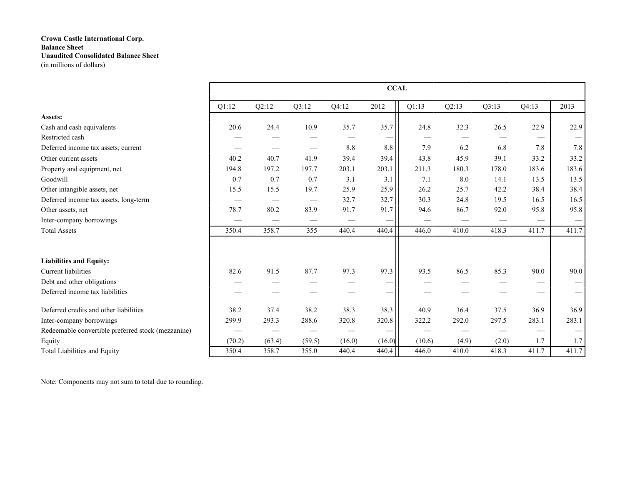|                                                    | <b>CCAL</b> |        |                                 |        |        |        |       |       |       |                                 |  |  |
|----------------------------------------------------|-------------|--------|---------------------------------|--------|--------|--------|-------|-------|-------|---------------------------------|--|--|
|                                                    | Q1:12       | Q2:12  | Q3:12                           | Q4:12  | 2012   | Q1:13  | Q2:13 | Q3:13 | Q4:13 | 2013                            |  |  |
| Assets:                                            |             |        |                                 |        |        |        |       |       |       |                                 |  |  |
| Cash and cash equivalents                          | 20.6        | 24.4   | 10.9                            | 35.7   | 35.7   | 24.8   | 32.3  | 26.5  | 22.9  | 22.9                            |  |  |
| Restricted cash                                    |             |        |                                 |        | —      |        |       |       |       |                                 |  |  |
| Deferred income tax assets, current                |             |        |                                 | 8.8    | 8.8    | 7.9    | 6.2   | 6.8   | 7.8   | 7.8                             |  |  |
| Other current assets                               | 40.2        | 40.7   | 41.9                            | 39.4   | 39.4   | 43.8   | 45.9  | 39.1  | 33.2  | 33.2                            |  |  |
| Property and equipment, net                        | 194.8       | 197.2  | 197.7                           | 203.1  | 203.1  | 211.3  | 180.3 | 178.0 | 183.6 | 183.6                           |  |  |
| Goodwill                                           | 0.7         | 0.7    | 0.7                             | 3.1    | 3.1    | 7.1    | 8.0   | 14.1  | 13.5  | 13.5                            |  |  |
| Other intangible assets, net                       | 15.5        | 15.5   | 19.7                            | 25.9   | 25.9   | 26.2   | 25.7  | 42.2  | 38.4  | 38.4                            |  |  |
| Deferred income tax assets, long-term              |             |        | $\hspace{0.1mm}-\hspace{0.1mm}$ | 32.7   | 32.7   | 30.3   | 24.8  | 19.5  | 16.5  | 16.5                            |  |  |
| Other assets, net                                  | 78.7        | 80.2   | 83.9                            | 91.7   | 91.7   | 94.6   | 86.7  | 92.0  | 95.8  | 95.8                            |  |  |
| Inter-company borrowings                           |             |        |                                 |        |        |        |       |       |       | $\hspace{0.1mm}-\hspace{0.1mm}$ |  |  |
| <b>Total Assets</b>                                | 350.4       | 358.7  | 355                             | 440.4  | 440.4  | 446.0  | 410.0 | 418.3 | 411.7 | 411.7                           |  |  |
|                                                    |             |        |                                 |        |        |        |       |       |       |                                 |  |  |
| <b>Liabilities and Equity:</b>                     |             |        |                                 |        |        |        |       |       |       |                                 |  |  |
| Current liabilities                                | 82.6        | 91.5   | 87.7                            | 97.3   | 97.3   | 93.5   | 86.5  | 85.3  | 90.0  | 90.0                            |  |  |
| Debt and other obligations                         |             |        |                                 |        |        |        |       |       |       |                                 |  |  |
| Deferred income tax liabilities                    |             |        |                                 |        |        |        |       |       |       | $\qquad \qquad$                 |  |  |
| Deferred credits and other liabilities             | 38.2        | 37.4   | 38.2                            | 38.3   | 38.3   | 40.9   | 36.4  | 37.5  | 36.9  | 36.9                            |  |  |
| Inter-company borrowings                           | 299.9       | 293.3  | 288.6                           | 320.8  | 320.8  | 322.2  | 292.0 | 297.5 | 283.1 | 283.1                           |  |  |
| Redeemable convertible preferred stock (mezzanine) |             |        |                                 |        |        |        |       |       |       |                                 |  |  |
| Equity                                             | (70.2)      | (63.4) | (59.5)                          | (16.0) | (16.0) | (10.6) | (4.9) | (2.0) | 1.7   | 1.7                             |  |  |
| Total Liabilities and Equity                       | 350.4       | 358.7  | 355.0                           | 440.4  | 440.4  | 446.0  | 410.0 | 418.3 | 411.7 | 411.7                           |  |  |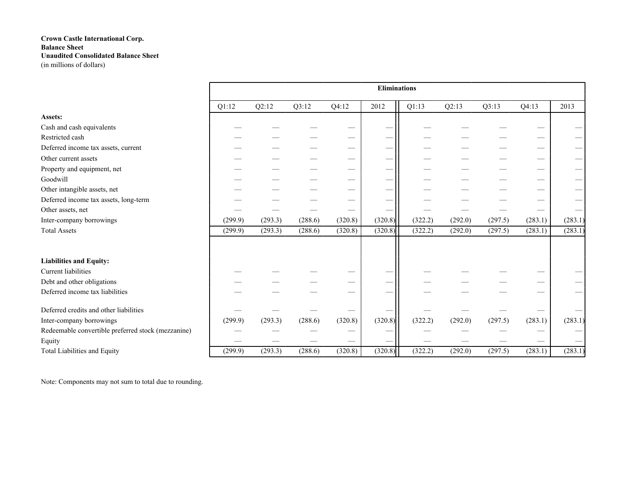|                                                    |         |         |         |         | <b>Eliminations</b> |         |         |         |         |                                 |
|----------------------------------------------------|---------|---------|---------|---------|---------------------|---------|---------|---------|---------|---------------------------------|
|                                                    | Q1:12   | Q2:12   | Q3:12   | Q4:12   | 2012                | Q1:13   | Q2:13   | Q3:13   | Q4:13   | 2013                            |
| Assets:                                            |         |         |         |         |                     |         |         |         |         |                                 |
| Cash and cash equivalents                          |         |         |         |         |                     |         |         |         |         |                                 |
| Restricted cash                                    |         |         |         |         |                     |         |         |         |         |                                 |
| Deferred income tax assets, current                |         |         |         |         |                     |         |         |         |         |                                 |
| Other current assets                               |         |         |         |         |                     |         |         |         |         |                                 |
| Property and equipment, net                        |         |         |         |         | –                   |         |         |         |         |                                 |
| Goodwill                                           |         |         |         |         |                     |         |         |         |         |                                 |
| Other intangible assets, net                       |         |         |         |         |                     |         |         |         |         |                                 |
| Deferred income tax assets, long-term              |         |         |         |         |                     |         |         |         |         |                                 |
| Other assets, net                                  |         |         |         |         |                     |         |         |         |         |                                 |
| Inter-company borrowings                           | (299.9) | (293.3) | (288.6) | (320.8) | (320.8)             | (322.2) | (292.0) | (297.5) | (283.1) | (283.1)                         |
| <b>Total Assets</b>                                | (299.9) | (293.3) | (288.6) | (320.8) | (320.8)             | (322.2) | (292.0) | (297.5) | (283.1) | (283.1)                         |
|                                                    |         |         |         |         |                     |         |         |         |         |                                 |
| <b>Liabilities and Equity:</b>                     |         |         |         |         |                     |         |         |         |         |                                 |
| Current liabilities                                |         |         |         |         | –                   |         |         |         |         |                                 |
| Debt and other obligations                         |         |         |         |         | —                   |         |         |         |         |                                 |
| Deferred income tax liabilities                    |         |         |         |         |                     |         |         |         |         |                                 |
| Deferred credits and other liabilities             |         |         |         |         |                     |         |         |         |         |                                 |
| Inter-company borrowings                           | (299.9) | (293.3) | (288.6) | (320.8) | (320.8)             | (322.2) | (292.0) | (297.5) | (283.1) | (283.1)                         |
| Redeemable convertible preferred stock (mezzanine) |         |         |         |         |                     |         |         |         |         |                                 |
| Equity                                             |         |         |         |         |                     |         |         |         |         | $\hspace{0.1mm}-\hspace{0.1mm}$ |
| Total Liabilities and Equity                       | (299.9) | (293.3) | (288.6) | (320.8) | (320.8)             | (322.2) | (292.0) | (297.5) | (283.1) | (283.1)                         |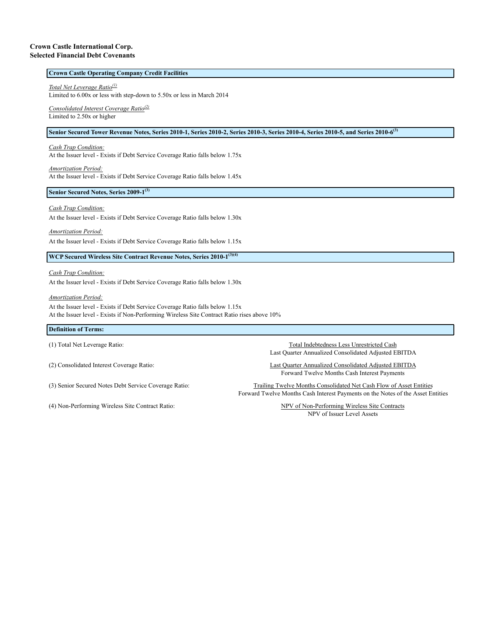#### **Crown Castle International Corp. Selected Financial Debt Covenants**

### **Crown Castle Operating Company Credit Facilities**

*Total Net Leverage Ratio(1)*

Limited to 6.00x or less with step-down to 5.50x or less in March 2014

*Consolidated Interest Coverage Ratio(2)* Limited to 2.50x or higher

#### **Senior Secured Tower Revenue Notes, Series 2010-1, Series 2010-2, Series 2010-3, Series 2010-4, Series 2010-5, and Series 2010-6(3)**

*Cash Trap Condition:*

At the Issuer level - Exists if Debt Service Coverage Ratio falls below 1.75x

*Amortization Period:* At the Issuer level - Exists if Debt Service Coverage Ratio falls below 1.45x

**Senior Secured Notes, Series 2009-1(3)**

#### *Cash Trap Condition:*

At the Issuer level - Exists if Debt Service Coverage Ratio falls below 1.30x

*Amortization Period:*

At the Issuer level - Exists if Debt Service Coverage Ratio falls below 1.15x

**WCP Secured Wireless Site Contract Revenue Notes, Series 2010-1(3)(4)**

*Cash Trap Condition:*

At the Issuer level - Exists if Debt Service Coverage Ratio falls below 1.30x

*Amortization Period:*

At the Issuer level - Exists if Debt Service Coverage Ratio falls below 1.15x At the Issuer level - Exists if Non-Performing Wireless Site Contract Ratio rises above 10%

#### **Definition of Terms:**

(4) Non-Performing Wireless Site Contract Ratio: NPV of Non-Performing Wireless Site Contracts

(1) Total Net Leverage Ratio: Total Indebtedness Less Unrestricted Cash Last Quarter Annualized Consolidated Adjusted EBITDA

(2) Consolidated Interest Coverage Ratio: Last Quarter Annualized Consolidated Adjusted EBITDA Forward Twelve Months Cash Interest Payments

(3) Senior Secured Notes Debt Service Coverage Ratio: Trailing Twelve Months Consolidated Net Cash Flow of Asset Entities Forward Twelve Months Cash Interest Payments on the Notes of the Asset Entities

NPV of Issuer Level Assets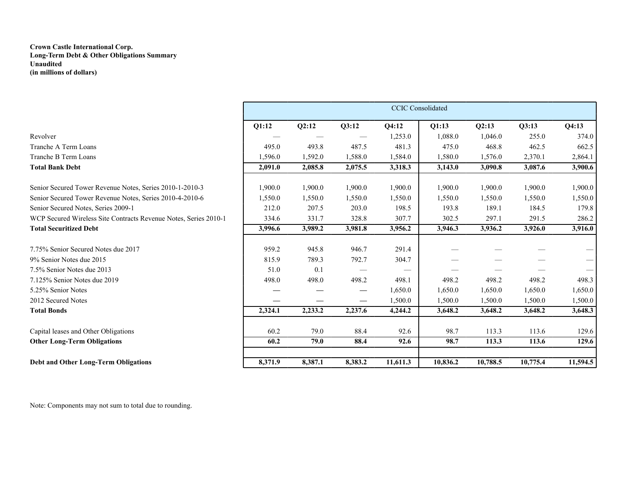### **Crown Castle International Corp. Long-Term Debt & Other Obligations Summary Unaudited (in millions of dollars)**

|                                                                  | <b>CCIC</b> Consolidated |         |         |          |          |          |          |          |  |  |  |
|------------------------------------------------------------------|--------------------------|---------|---------|----------|----------|----------|----------|----------|--|--|--|
|                                                                  | Q1:12                    | Q2:12   | Q3:12   | Q4:12    | Q1:13    | Q2:13    | Q3:13    | Q4:13    |  |  |  |
| Revolver                                                         |                          |         |         | 1,253.0  | 1,088.0  | 1,046.0  | 255.0    | 374.0    |  |  |  |
| Tranche A Term Loans                                             | 495.0                    | 493.8   | 487.5   | 481.3    | 475.0    | 468.8    | 462.5    | 662.5    |  |  |  |
| Tranche B Term Loans                                             | 1,596.0                  | 1,592.0 | 1,588.0 | 1,584.0  | 1,580.0  | 1,576.0  | 2,370.1  | 2,864.1  |  |  |  |
| <b>Total Bank Debt</b>                                           | 2,091.0                  | 2,085.8 | 2,075.5 | 3,318.3  | 3,143.0  | 3,090.8  | 3,087.6  | 3,900.6  |  |  |  |
| Senior Secured Tower Revenue Notes, Series 2010-1-2010-3         | 1,900.0                  | 1,900.0 | 1,900.0 | 1,900.0  | 1,900.0  | 1,900.0  | 1,900.0  | 1,900.0  |  |  |  |
| Senior Secured Tower Revenue Notes, Series 2010-4-2010-6         | 1,550.0                  | 1,550.0 | 1,550.0 | 1,550.0  | 1,550.0  | 1,550.0  | 1,550.0  | 1,550.0  |  |  |  |
| Senior Secured Notes, Series 2009-1                              | 212.0                    | 207.5   | 203.0   | 198.5    | 193.8    | 189.1    | 184.5    | 179.8    |  |  |  |
| WCP Secured Wireless Site Contracts Revenue Notes, Series 2010-1 | 334.6                    | 331.7   | 328.8   | 307.7    | 302.5    | 297.1    | 291.5    | 286.2    |  |  |  |
| <b>Total Securitized Debt</b>                                    | 3,996.6                  | 3,989.2 | 3,981.8 | 3,956.2  | 3,946.3  | 3,936.2  | 3,926.0  | 3,916.0  |  |  |  |
| 7.75% Senior Secured Notes due 2017                              | 959.2                    | 945.8   | 946.7   | 291.4    |          |          |          |          |  |  |  |
| 9% Senior Notes due 2015                                         | 815.9                    | 789.3   | 792.7   | 304.7    |          |          |          |          |  |  |  |
| 7.5% Senior Notes due 2013                                       | 51.0                     | 0.1     |         |          |          |          |          |          |  |  |  |
| 7.125% Senior Notes due 2019                                     | 498.0                    | 498.0   | 498.2   | 498.1    | 498.2    | 498.2    | 498.2    | 498.3    |  |  |  |
| 5.25% Senior Notes                                               |                          |         |         | 1,650.0  | 1,650.0  | 1,650.0  | 1,650.0  | 1,650.0  |  |  |  |
| 2012 Secured Notes                                               |                          |         |         | 1,500.0  | 1,500.0  | 1,500.0  | 1,500.0  | 1,500.0  |  |  |  |
| <b>Total Bonds</b>                                               | 2,324.1                  | 2,233.2 | 2,237.6 | 4,244.2  | 3,648.2  | 3,648.2  | 3,648.2  | 3,648.3  |  |  |  |
| Capital leases and Other Obligations                             | 60.2                     | 79.0    | 88.4    | 92.6     | 98.7     | 113.3    | 113.6    | 129.6    |  |  |  |
| <b>Other Long-Term Obligations</b>                               | 60.2                     | 79.0    | 88.4    | 92.6     | 98.7     | 113.3    | 113.6    | 129.6    |  |  |  |
|                                                                  |                          |         |         |          |          |          |          |          |  |  |  |
| Debt and Other Long-Term Obligations                             | 8,371.9                  | 8,387.1 | 8,383.2 | 11,611.3 | 10,836.2 | 10,788.5 | 10,775.4 | 11,594.5 |  |  |  |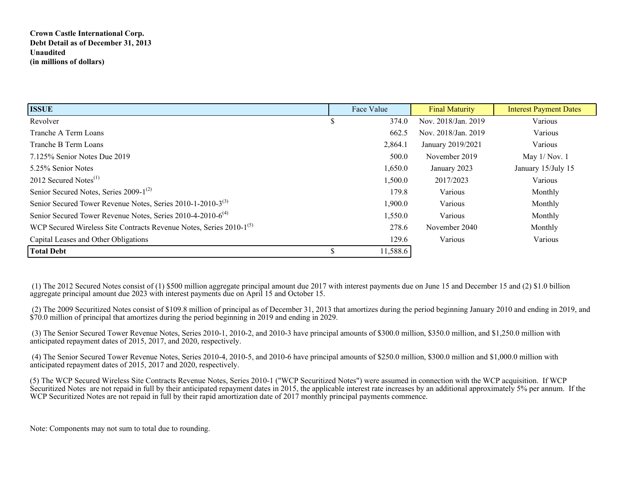## **Crown Castle International Corp. Debt Detail as of December 31, 2013 Unaudited (in millions of dollars)**

| <b>ISSUE</b>                                                                    | Face Value | <b>Final Maturity</b> | <b>Interest Payment Dates</b> |
|---------------------------------------------------------------------------------|------------|-----------------------|-------------------------------|
| Revolver                                                                        | 374.0      | Nov. 2018/Jan. 2019   | Various                       |
| Tranche A Term Loans                                                            | 662.5      | Nov. 2018/Jan. 2019   | Various                       |
| Tranche B Term Loans                                                            | 2,864.1    | January 2019/2021     | Various                       |
| 7.125% Senior Notes Due 2019                                                    | 500.0      | November 2019         | May $1/Nov. 1$                |
| 5.25% Senior Notes                                                              | 1,650.0    | January 2023          | January 15/July 15            |
| 2012 Secured Notes $^{(1)}$                                                     | 1,500.0    | 2017/2023             | Various                       |
| Senior Secured Notes, Series 2009-1 <sup>(2)</sup>                              | 179.8      | Various               | Monthly                       |
| Senior Secured Tower Revenue Notes, Series 2010-1-2010-3 <sup>(3)</sup>         | 1,900.0    | Various               | Monthly                       |
| Senior Secured Tower Revenue Notes, Series 2010-4-2010-6 <sup>(4)</sup>         | 1,550.0    | Various               | Monthly                       |
| WCP Secured Wireless Site Contracts Revenue Notes, Series 2010-1 <sup>(5)</sup> | 278.6      | November 2040         | Monthly                       |
| Capital Leases and Other Obligations                                            | 129.6      | Various               | Various                       |
| <b>Total Debt</b>                                                               | 11,588.6   |                       |                               |

 (1) The 2012 Secured Notes consist of (1) \$500 million aggregate principal amount due 2017 with interest payments due on June 15 and December 15 and (2) \$1.0 billion aggregate principal amount due 2023 with interest payments due on April 15 and October 15.

 (2) The 2009 Securitized Notes consist of \$109.8 million of principal as of December 31, 2013 that amortizes during the period beginning January 2010 and ending in 2019, and \$70.0 million of principal that amortizes during the period beginning in 2019 and ending in 2029.

 (3) The Senior Secured Tower Revenue Notes, Series 2010-1, 2010-2, and 2010-3 have principal amounts of \$300.0 million, \$350.0 million, and \$1,250.0 million with anticipated repayment dates of 2015, 2017, and 2020, respectively.

 (4) The Senior Secured Tower Revenue Notes, Series 2010-4, 2010-5, and 2010-6 have principal amounts of \$250.0 million, \$300.0 million and \$1,000.0 million with anticipated repayment dates of 2015, 2017 and 2020, respectively.

(5) The WCP Secured Wireless Site Contracts Revenue Notes, Series 2010-1 ("WCP Securitized Notes") were assumed in connection with the WCP acquisition. If WCP Securitized Notes are not repaid in full by their anticipated repayment dates in 2015, the applicable interest rate increases by an additional approximately 5% per annum. If the WCP Securitized Notes are not repaid in full by their rapid amortization date of 2017 monthly principal payments commence.